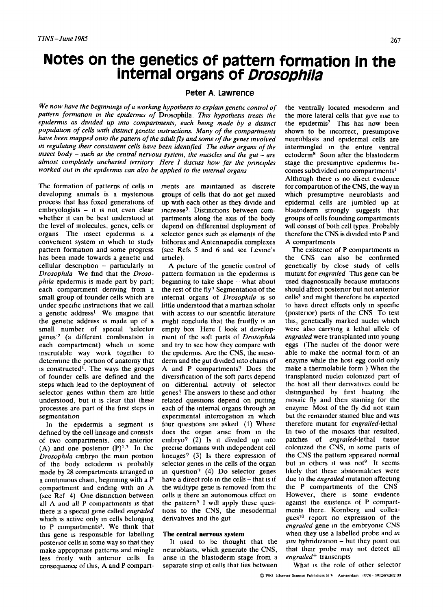# **Notes on the genetics of pattern formation in the internal organs of** *Drosophila*

# **Peter A. Lawrence**

*We now have the beginnings of a working hypothesis to explain genetic control of pattern formation tn the epidermis of* Drosophila. *This hypothesis treats the epidermis as dwided up into compartments, each being made by a dtstmct population of cells wtth dtstmct genetic instructions. Many of the compartments have been mapped onto the pattern of the adult fly and some of the genes mvolved*  in regulating their constituent cells have been identified The other organs of the *insect body - such as the central nervous system, the muscles and the gut - are almost completely uncharted territory Here 1 discuss how far the prmclples worked out m the epidermis can also be apphed to the internal organs* 

The formation of patterns of cells in developing animals is a mystenous process that has foxed generations of  $embrvolo exists - it$  is not even clear whether it can be best understood at the level of molecules, genes, cells or organs The insect epidermis is a convenient system in which to study pattern formation and some progress has been made towards a genetic and cellular description - particularly in *Drosophila* We find that the *Drosophila* epidermis is made part by part; each compartment deriving from a small group of founder cells which are under specific instructions that we call a genetic address<sup>1</sup> We imagine that the genetic address is made up of a small number of special 'selector genes<sup>12</sup> (a different combination in each compartment) which in some inscrutable way work together to determine the portion of anatomy that is constructed<sup> $1$ </sup>. The ways the groups of founder cells are defined and the steps which lead to the deployment of selector genes within them are little understood, but it is clear that these processes are part of the first steps in segmentation

In the epidermis a segment is defined by the cell lineage and consists of two compartments, one anterior (A) and one posterior  $(P)^{1,3}$  In the *Drosophda* embryo the main portion of the body ectoderm is probably made by 28 compartments arranged in a continuous chain, beginning with a P compartment and ending with an A (see Ref 4) One distinction between all A and all P compartments is that there is a special gene called *engraded*  which is active only in cells belonging to P compartments<sup>3</sup>. We think that this gene is responsible for labelling posterior cells in some way so that they make appropriate patterns and mingle less freely with anterior cells In consequence of this, A and P compart-

ments are maintained as discrete groups of cells that do not get mixed up with each other as they divide and  $increase<sup>3</sup>$ . Distinctions between compartments along the axis of the body depend on differential deployment of selector genes such as elements of the bithorax and Antennapedia complexes (see Refs 5 and 6 and see Levine's article).

A picture of the genetic control of pattern formation in the epidermis is beginning to take shape - what about the rest of the fly? Segmentation of the internal organs of *Drosophila* is so little understood that a martian scholar with access to our scientific literature might conclude that the fruitfly is an empty box Here I look at development of the soft parts of *Drosophila*  and try to see how they compare with the epidermis. Axe the CNS, the mesoderm and the gut divided into chains of A and P compartments? Does the diversification of the soft parts depend on differential activity of selector genes? The answers to these and other related questions depend on putting each of the internal organs through an experimental interrogation in which four questions are asked. (1) Where does the organ arise from in the embryo? (2) Is it divided up into precise domains with independent cell  $\mu$ neages? (3) Is there expression of selector genes in the cells of the organ in question? (4) Do selector genes have a direct role in the cells - that is if the wildtype gene is removed from the cells is there an autonomous effect on the pattern? I will apply these questions to the CNS, the mesodermal derivatives and the gut

### **The central nervous system**

It used to be thought that the neuroblasts, which generate the CNS, arise in the blastoderm stage from a separate strip of cells that lies between

the ventrally located mesoderm and the more lateral cells that give rise to the epidermis<sup>7</sup> This has now been shown to be incorrect, presumptive neuroblasts and epidermal cells are intermingled in the entire ventral ectoderm<sup>8</sup> Soon after the blastoderm stage the presumptive epidermis becomes subdivided into compartments<sup>1</sup> Although there is no direct evidence for compartition of the CNS, the way in which presumptive neuroblasts and epidermal cells are jumbled up at blastoderm strongly suggests that groups of cells founding compartments will consist of both cell types. Probably therefore the CNS is dwided into P and A compartments

The existence of P compartments in the CNS can also be confirmed genetically by close study of cells mutant for *engratled* This gene can be used diagnostically because mutations should affect postenor but not anterior cells<sup>3</sup> and might therefore be expected to have direct effects only in specific (posterior) parts of the CNS To test this, genetically marked nuclei which were also carrying a lethal allele of *engratled* were transplanted into young eggs (The nuclei of the donor were able to make the normal form of an enzyme while the host egg could only make a thermolabile form ) When the transplanted nuclei colonized part of the host all their denvatlves could be distinguished by first heating the mosaic fly and then staining for the enzyme Most of the fly did not stain but the remainder stained blue and was therefore mutant for *engraded-lethal*  In two of the mosaics that resulted, patches of *engratled-lethal* tissue colonized the CNS, in some parts of the CNS the pattern appeared normal but in others it was not<sup>9</sup> It seems hkely that these abnormalities were due to the *engrailed* mutation affecting the P compartments of the CNS However, there is some evidence against the existence of P compartments there. Kornberg and colleagues $10$  report no expression of the *engratled* gene in the embryonic CNS when they use a labelled probe and *tn sttu* hybridization - but they point out that their probe may not detect all *engratled +* transcripts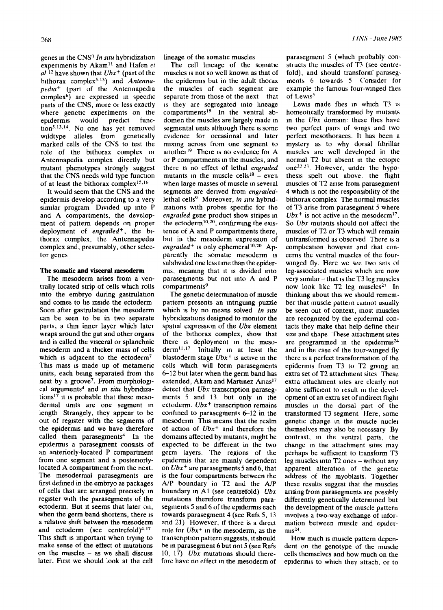genes in the CNS<sup>?</sup> In situ hybridization experiments by Akam<sup>11</sup> and Hafen et *al 12* have shown that *Ubx +* (part of the bithorax complex<sup>5,13</sup>) and *Antennapedla +* (part of the Antennapedla complex<sup>6</sup>) are expressed in specific parts of the CNS, more or less exactly where genetic experiments on the<br>endermis would predict funcepidermis would predict tion<sup>5,13,14</sup>. No one has yet removed wildtype alleles from genetically marked cells of the CNS to test the role of the bithorax complex or Antennapedia complex directly but mutant phenotypes strongly suggest that the CNS needs wild type function of at least the bithorax complex<sup>15,16</sup>

It would seem that the CNS and the epidermis develop according to a very similar program Divided up into P and A compartments, the development of pattern depends on proper deployment of *engrailed<sup>+</sup>*, the bithorax complex, the Antennapedia complex and, presumably, other selector genes

## The somatic and visceral mesoderm

The mesoderm arises from a ventrally located strip of cells which rolls into the embryo during gastrulation and comes to lie inside the ectoderm Soon after gastrulation the mesoderm can be seen to be in two separate parts; a thin inner layer which later wraps around the gut and other organs and is called the visceral or splanchnic mesoderm and a thicker mass of cells which is adjacent to the ectoderm<sup>7</sup> This mass is made up of metameric units, each being separated from the next by a groove<sup>7</sup>. From morphological arguments<sup>4</sup> and *in situ* hybridizations<sup>17</sup> it is probable that these mesodermal units are one segment in length Strangely, they appear to be out of register with the segments of the epidermis and we have therefore called them parasegments<sup>4</sup> In the epidermis a parasegment consists of an anteriorly-located P compartment from one segment and a posteriorlylocated A compartment from the next. The mesodermai parasegments are first defined in the embryo as packages of cells that are arranged preosely in register with the parasegments of the  $ectoderm.$  But it seems that later on. when the germ band shortens, there is a relative shift between the mesoderm and ectoderm (see centrefold) $4.17$ This shift is important when trying to make sense of the effect of mutations on the muscles - as we shall discuss later. First we should look at the cell

lineage of the somatic muscles

The cell hneage of the somatic muscles is not so well known as that of the epidermis but in the adult thorax the muscles of each segment are separate from those of the next  $-$  that is they are segregated into lineage compartments $<sup>18</sup>$  In the ventral ab-</sup> domen the muscles are largely made in segmental umts although there is some evidence for occasional and later mixing across from one segment to another $^{19}$  There is no evidence for A or P compartments in the muscles, and there is no effect of lethal *engraded*  mutants in the muscle cells<sup>18</sup> – even when large masses of muscle in several segments are derived from *engraded*lethal cells<sup>9</sup> Moreover, *in situ* hybridizations with probes specific for the *engralled* gene product show stripes in the ectoderm<sup>10,20</sup>, confirming the existence of A and P compartments there, but in the mesoderm expression of *engratied*<sup>+</sup> is only ephemeral<sup>10,20</sup> Apparently the somatic mesoderm is subdivided one less time than the epidermis, meamng that it is divided into parasegments but not into A and P compartments<sup>9</sup>

The genetic deterrmnatlon of muscle pattern presents an intngumg puzzle which is by no means solved *In situ* hybridizations designed to monitor the spatial expression of the *Ubx* element of the bithorax complex, show that there is deployment in the meso $d$ erm<sup>11,17</sup> Initially in at least the blastoderm stage  $Ubx^+$  is active in the cells winch will form parasegments 6-12 but later when the germ band has extended, Akam and Martinez-Arias<sup>17</sup> detect that *Ubx* transcnption parasegments 5 and 13, but only in the ectoderm. *Ubx<sup>+</sup>* transcription remains confined to parasegments  $6-12$  in the mesoderm This means that the realm of action of *Ubx +* and therefore the domains affected by mutants, might be expected to be different in the two germ layers\_ The regions of the epidermis that are mainly dependent on *Ubx +* are parasegments 5 and 6, that is the four compartments between the A/P boundary in T2 and the A/P boundary in A1 (see centrefold) *Ubx*  mutations therefore transform parasegments 5 and 6 of the epidermis each towards parasegment 4 (see Refs 5, 13 and 21) However, if there is a direct role for *Ubx<sup>+</sup>* in the mesoderm, as the transcription pattern suggests, it should be in parasegment 6 but not 5 (see Refs 10, 17) *Ubx* mutations should therefore have no effect in the mesoderm of

parasegment 5 (which probably constructs the muscles of T3 (see centrefold), and should transform parasegmerits 6 towards 5 Consider for example the famous four-winged files of Lewis<sup>5</sup>

Lewis made flies in which T3 is homeotically transformed by mutants in the *Ubx* domain: these flies have two perfect pairs of wings and two perfect mesothoraces. It has been a mystery as to why dorsal fibrillar muscles are well developed in the normal T2 but absent in the ectopic one<sup>22 23</sup>. However, under the hypothesis spelt out above, the flight muscles of T2 arise from parasegment 4 which is not the responsibility of the bithorax complex The normal muscles of T3 arise from parasegment 5 where  $Ubx^{+}$  is not active in the mesoderm<sup>17</sup>. So *Ubx* mutants should not affect the muscles of T2 or T3 which will remain untransformed as observed There is a complication however and that concerns the ventral muscles of the fourwinged fly. Here we see two sets of leg-associated muscles which are now very similar  $-$  that is the T3 leg muscles now look like  $T2$  leg muscles<sup>23</sup> In thinking about this we should remember that muscle pattern cannot usually be seen out of context, most muscles are recognized by the epidermal contacts they make that help define their size and shape These attachment sites are programmed in the epidermis $^{24}$ and in the case of the tour-winged fly there is a perfect transformation of the epidermis from T3 to T2 giving an extra set of T2 attachment sites These extra attachment sites are clearly not alone sufficient to result in the development of an extra set of indirect fhght muscles in the dorsal part of the transformed T3 segment Here, some genetic change in the muscle nuclei themselves may also be necessary By contrast, in the ventral parts, the change in the attachment sites may perhaps be sufficient to transform T3 leg muscles into T2 ones - without any apparent alteration of the genetic address of the myoblasts. Together these results suggest that the muscles arising from parasegments are possibly differently genetically determined but the development of the muscle pattern involves a two-way exchange of information between muscle and epider $ms<sup>24</sup>$ .

How much Is muscle pattern dependent on the genotype of the muscle cells themselves and how much on the epidermis to which they attach, or to